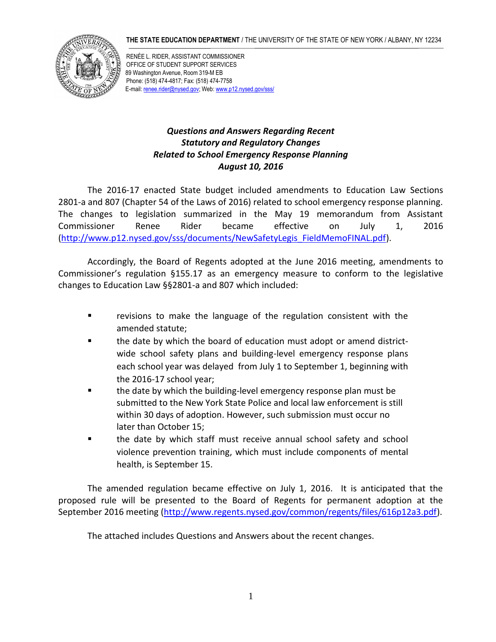**THE STATE EDUCATION DEPARTMENT** / THE UNIVERSITY OF THE STATE OF NEW YORK / ALBANY, NY 12234



RENÉE L. RIDER, ASSISTANT COMMISSIONER OFFICE OF STUDENT SUPPORT SERVICES 89 Washington Avenue, Room 319-M EB Phone: (518) 474-4817; Fax: (518) 474-7758 E-mail[: renee.rider@nysed.gov;](mailto:renee.rider@nysed.gov) Web[: www.p12.nysed.gov/sss/](http://www.p12.nysed.gov/sss/)

## *Questions and Answers Regarding Recent Statutory and Regulatory Changes Related to School Emergency Response Planning August 10, 2016*

The 2016-17 enacted State budget included amendments to Education Law Sections 2801-a and 807 (Chapter 54 of the Laws of 2016) related to school emergency response planning. The changes to legislation summarized in the May 19 memorandum from Assistant Commissioner Renee Rider became effective on July 1, 2016 [\(http://www.p12.nysed.gov/sss/documents/NewSafetyLegis\\_FieldMemoFINAL.pdf\)](http://www.p12.nysed.gov/sss/documents/NewSafetyLegis_FieldMemoFINAL.pdf).

Accordingly, the Board of Regents adopted at the June 2016 meeting, amendments to Commissioner's regulation §155.17 as an emergency measure to conform to the legislative changes to Education Law §§2801-a and 807 which included:

- revisions to make the language of the regulation consistent with the amended statute;
- the date by which the board of education must adopt or amend districtwide school safety plans and building-level emergency response plans each school year was delayed from July 1 to September 1, beginning with the 2016-17 school year;
- the date by which the building-level emergency response plan must be submitted to the New York State Police and local law enforcement is still within 30 days of adoption. However, such submission must occur no later than October 15;
- the date by which staff must receive annual school safety and school violence prevention training, which must include components of mental health, is September 15.

The amended regulation became effective on July 1, 2016. It is anticipated that the proposed rule will be presented to the Board of Regents for permanent adoption at the September 2016 meeting [\(http://www.regents.nysed.gov/common/regents/files/616p12a3.pdf\)](http://www.regents.nysed.gov/common/regents/files/616p12a3.pdf).

The attached includes Questions and Answers about the recent changes.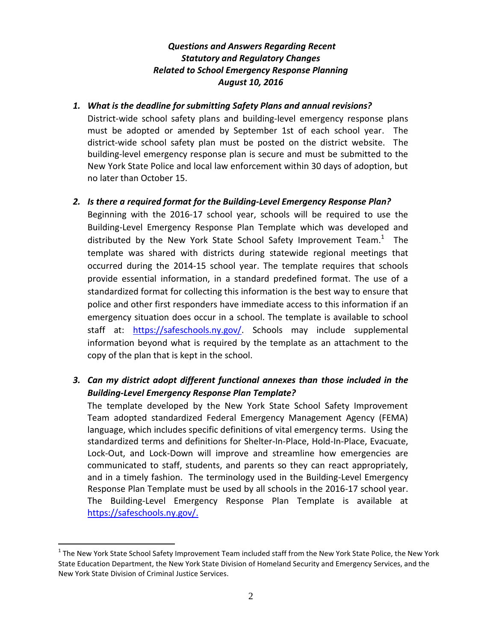### *Questions and Answers Regarding Recent Statutory and Regulatory Changes Related to School Emergency Response Planning August 10, 2016*

#### *1. What is the deadline for submitting Safety Plans and annual revisions?*

District-wide school safety plans and building-level emergency response plans must be adopted or amended by September 1st of each school year. The district-wide school safety plan must be posted on the district website. The building-level emergency response plan is secure and must be submitted to the New York State Police and local law enforcement within 30 days of adoption, but no later than October 15.

#### *2. Is there a required format for the Building-Level Emergency Response Plan?*

Beginning with the 2016-17 school year, schools will be required to use the Building-Level Emergency Response Plan Template which was developed and distributed by the New York State School Safety Improvement Team. $^1$  The template was shared with districts during statewide regional meetings that occurred during the 2014-15 school year. The template requires that schools provide essential information, in a standard predefined format. The use of a standardized format for collecting this information is the best way to ensure that police and other first responders have immediate access to this information if an emergency situation does occur in a school. The template is available to school staff at: [https://safeschools.ny.gov/.](https://safeschools.ny.gov/) Schools may include supplemental information beyond what is required by the template as an attachment to the copy of the plan that is kept in the school.

# *3. Can my district adopt different functional annexes than those included in the Building-Level Emergency Response Plan Template?*

The template developed by the New York State School Safety Improvement Team adopted standardized Federal Emergency Management Agency (FEMA) language, which includes specific definitions of vital emergency terms. Using the standardized terms and definitions for Shelter-In-Place, Hold-In-Place, Evacuate, Lock-Out, and Lock-Down will improve and streamline how emergencies are communicated to staff, students, and parents so they can react appropriately, and in a timely fashion. The terminology used in the Building-Level Emergency Response Plan Template must be used by all schools in the 2016-17 school year. The Building-Level Emergency Response Plan Template is available at [https://safeschools.ny.gov/.](https://safeschools.ny.gov/)

 $\overline{a}$ 

 $^1$  The New York State School Safety Improvement Team included staff from the New York State Police, the New York State Education Department, the New York State Division of Homeland Security and Emergency Services, and the New York State Division of Criminal Justice Services.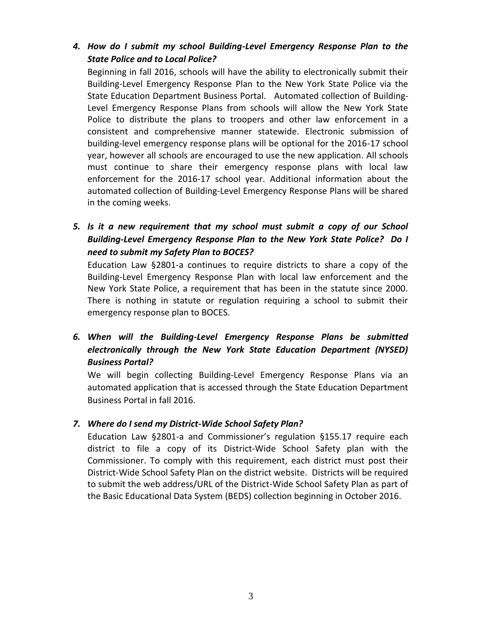# *4. How do I submit my school Building-Level Emergency Response Plan to the State Police and to Local Police?*

Beginning in fall 2016, schools will have the ability to electronically submit their Building-Level Emergency Response Plan to the New York State Police via the State Education Department Business Portal. Automated collection of Building-Level Emergency Response Plans from schools will allow the New York State Police to distribute the plans to troopers and other law enforcement in a consistent and comprehensive manner statewide. Electronic submission of building-level emergency response plans will be optional for the 2016-17 school year, however all schools are encouraged to use the new application. All schools must continue to share their emergency response plans with local law enforcement for the 2016-17 school year. Additional information about the automated collection of Building-Level Emergency Response Plans will be shared in the coming weeks.

*5. Is it a new requirement that my school must submit a copy of our School Building-Level Emergency Response Plan to the New York State Police? Do I need to submit my Safety Plan to BOCES?* 

Education Law §2801-a continues to require districts to share a copy of the Building-Level Emergency Response Plan with local law enforcement and the New York State Police, a requirement that has been in the statute since 2000. There is nothing in statute or regulation requiring a school to submit their emergency response plan to BOCES.

# *6. When will the Building-Level Emergency Response Plans be submitted electronically through the New York State Education Department (NYSED) Business Portal?*

We will begin collecting Building-Level Emergency Response Plans via an automated application that is accessed through the State Education Department Business Portal in fall 2016.

#### *7. Where do I send my District-Wide School Safety Plan?*

Education Law §2801-a and Commissioner's regulation §155.17 require each district to file a copy of its District-Wide School Safety plan with the Commissioner. To comply with this requirement, each district must post their District-Wide School Safety Plan on the district website. Districts will be required to submit the web address/URL of the District-Wide School Safety Plan as part of the Basic Educational Data System (BEDS) collection beginning in October 2016.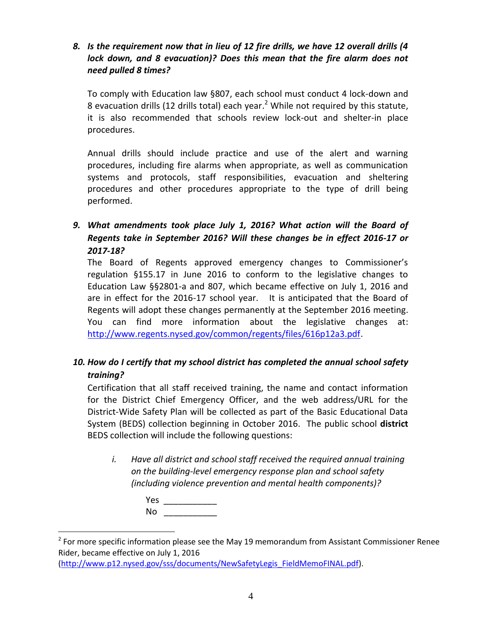#### *8. Is the requirement now that in lieu of 12 fire drills, we have 12 overall drills (4 lock down, and 8 evacuation)? Does this mean that the fire alarm does not need pulled 8 times?*

To comply with Education law §807, each school must conduct 4 lock-down and 8 evacuation drills (12 drills total) each year.<sup>2</sup> While not required by this statute, it is also recommended that schools review lock-out and shelter-in place procedures.

Annual drills should include practice and use of the alert and warning procedures, including fire alarms when appropriate, as well as communication systems and protocols, staff responsibilities, evacuation and sheltering procedures and other procedures appropriate to the type of drill being performed.

*9. What amendments took place July 1, 2016? What action will the Board of Regents take in September 2016? Will these changes be in effect 2016-17 or 2017-18?*

The Board of Regents approved emergency changes to Commissioner's regulation §155.17 in June 2016 to conform to the legislative changes to Education Law §§2801-a and 807, which became effective on July 1, 2016 and are in effect for the 2016-17 school year. It is anticipated that the Board of Regents will adopt these changes permanently at the September 2016 meeting. You can find more information about the legislative changes at: [http://www.regents.nysed.gov/common/regents/files/616p12a3.pdf.](http://www.regents.nysed.gov/common/regents/files/616p12a3.pdf)

## *10. How do I certify that my school district has completed the annual school safety training?*

Certification that all staff received training, the name and contact information for the District Chief Emergency Officer, and the web address/URL for the District-Wide Safety Plan will be collected as part of the Basic Educational Data System (BEDS) collection beginning in October 2016. The public school **district** BEDS collection will include the following questions:

- *i. Have all district and school staff received the required annual training on the building-level emergency response plan and school safety (including violence prevention and mental health components)?*
	- Yes \_\_\_\_\_\_\_\_\_\_\_ No \_\_\_\_\_\_\_\_\_\_\_

 $\overline{a}$ 

 $2$  For more specific information please see the May 19 memorandum from Assistant Commissioner Renee Rider, became effective on July 1, 2016

[<sup>\(</sup>http://www.p12.nysed.gov/sss/documents/NewSafetyLegis\\_FieldMemoFINAL.pdf\)](http://www.p12.nysed.gov/sss/documents/NewSafetyLegis_FieldMemoFINAL.pdf).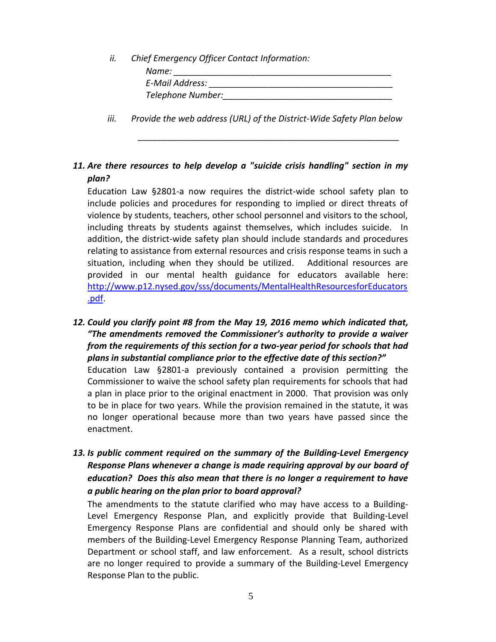*ii. Chief Emergency Officer Contact Information:*

| Name:             |  |
|-------------------|--|
| E-Mail Address:   |  |
| Telephone Number: |  |

*\_\_\_\_\_\_\_\_\_\_\_\_\_\_\_\_\_\_\_\_\_\_\_\_\_\_\_\_\_\_\_\_\_\_\_\_\_\_\_\_\_\_\_\_\_\_\_\_\_\_\_\_\_\_*

*iii. Provide the web address (URL) of the District-Wide Safety Plan below*

### *11. Are there resources to help develop a "suicide crisis handling" section in my plan?*

Education Law §2801-a now requires the district-wide school safety plan to include policies and procedures for responding to implied or direct threats of violence by students, teachers, other school personnel and visitors to the school, including threats by students against themselves, which includes suicide. In addition, the district-wide safety plan should include standards and procedures relating to assistance from external resources and crisis response teams in such a situation, including when they should be utilized. Additional resources are provided in our mental health guidance for educators available here: [http://www.p12.nysed.gov/sss/documents/MentalHealthResourcesforEducators](http://www.p12.nysed.gov/sss/documents/MentalHealthResourcesforEducators.pdf) [.pdf.](http://www.p12.nysed.gov/sss/documents/MentalHealthResourcesforEducators.pdf)

*12. Could you clarify point #8 from the May 19, 2016 memo which indicated that, "The amendments removed the Commissioner's authority to provide a waiver from the requirements of this section for a two-year period for schools that had plans in substantial compliance prior to the effective date of this section?"*

Education Law §2801-a previously contained a provision permitting the Commissioner to waive the school safety plan requirements for schools that had a plan in place prior to the original enactment in 2000. That provision was only to be in place for two years. While the provision remained in the statute, it was no longer operational because more than two years have passed since the enactment.

*13. Is public comment required on the summary of the Building-Level Emergency Response Plans whenever a change is made requiring approval by our board of education? Does this also mean that there is no longer a requirement to have a public hearing on the plan prior to board approval?*

The amendments to the statute clarified who may have access to a Building-Level Emergency Response Plan, and explicitly provide that Building-Level Emergency Response Plans are confidential and should only be shared with members of the Building-Level Emergency Response Planning Team, authorized Department or school staff, and law enforcement. As a result, school districts are no longer required to provide a summary of the Building-Level Emergency Response Plan to the public.